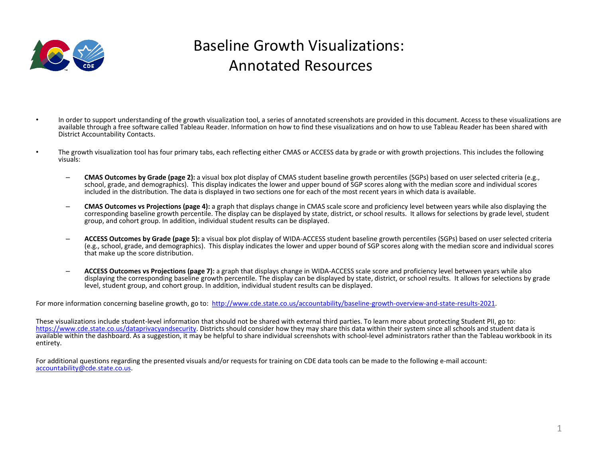

## Baseline Growth Visualizations: Annotated Resources

- In order to support understanding of the growth visualization tool, a series of annotated screenshots are provided in this document. Access to these visualizations are available through a free software called Tableau Reader. Information on how to find these visualizations and on how to use Tableau Reader has been shared with District Accountability Contacts.
- The growth visualization tool has four primary tabs, each reflecting either CMAS or ACCESS data by grade or with growth projections. This includes the following visuals:
	- **CMAS Outcomes by Grade (page 2):** a visual box plot display of CMAS student baseline growth percentiles (SGPs) based on user selected criteria (e.g., school, grade, and demographics). This display indicates the lower and upper bound of SGP scores along with the median score and individual scores included in the distribution. The data is displayed in two sections one for each of the most recent years in which data is available.
	- **CMAS Outcomes vs Projections (page 4):** a graph that displays change in CMAS scale score and proficiency level between years while also displaying the corresponding baseline growth percentile. The display can be displayed by state, district, or school results. It allows for selections by grade level, student group, and cohort group. In addition, individual student results can be displayed.
	- **ACCESS Outcomes by Grade (page 5):** a visual box plot display of WIDA-ACCESS student baseline growth percentiles (SGPs) based on user selected criteria (e.g., school, grade, and demographics). This display indicates the lower and upper bound of SGP scores along with the median score and individual scores that make up the score distribution.
	- **ACCESS Outcomes vs Projections (page 7):** a graph that displays change in WIDA-ACCESS scale score and proficiency level between years while also displaying the corresponding baseline growth percentile. The display can be displayed by state, district, or school results. It allows for selections by grade level, student group, and cohort group. In addition, individual student results can be displayed.

For more information concerning baseline growth, go to: <http://www.cde.state.co.us/accountability/baseline-growth-overview-and-state-results-2021>.

These visualizations include student-level information that should not be shared with external third parties. To learn more about protecting Student PII, go to: <https://www.cde.state.co.us/dataprivacyandsecurity>. Districts should consider how they may share this data within their system since all schools and student data is available within the dashboard. As a suggestion, it may be helpful to share individual screenshots with school-level administrators rather than the Tableau workbook in its entirety.

For additional questions regarding the presented visuals and/or requests for training on CDE data tools can be made to the following e-mail account: [accountability@cde.state.co.us.](mailto:accountability@cde.state.co.us)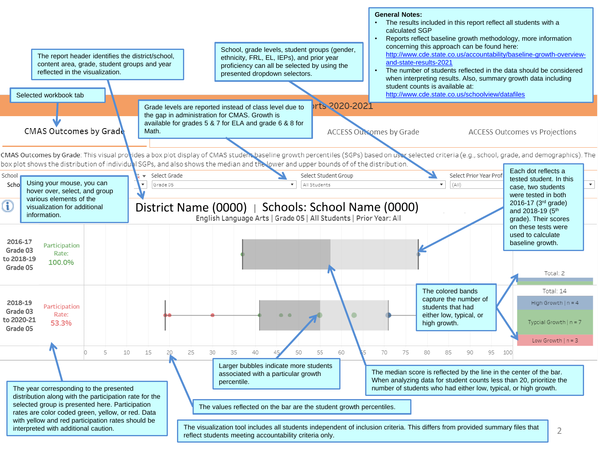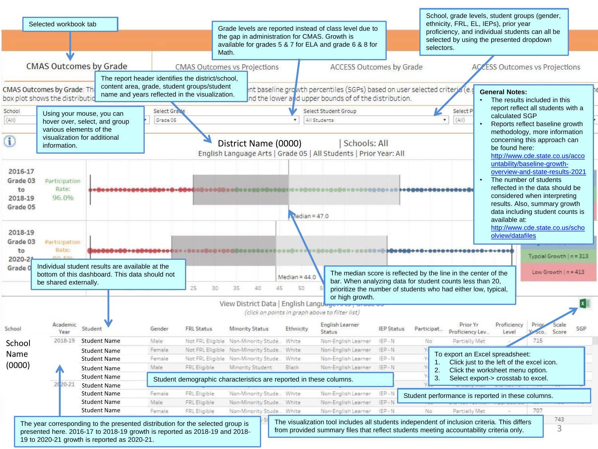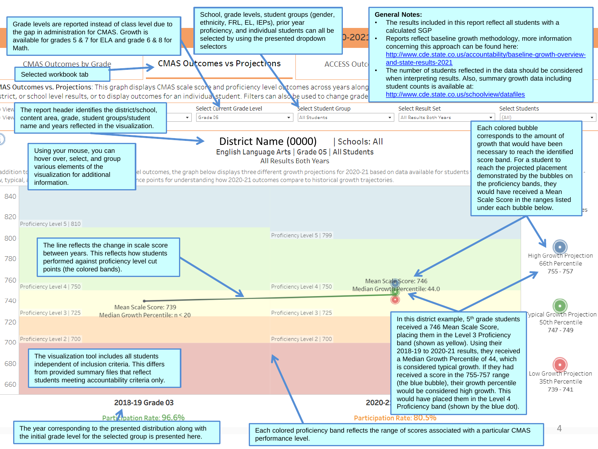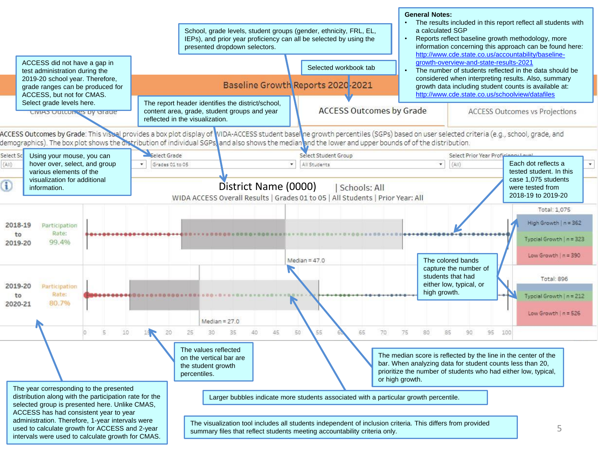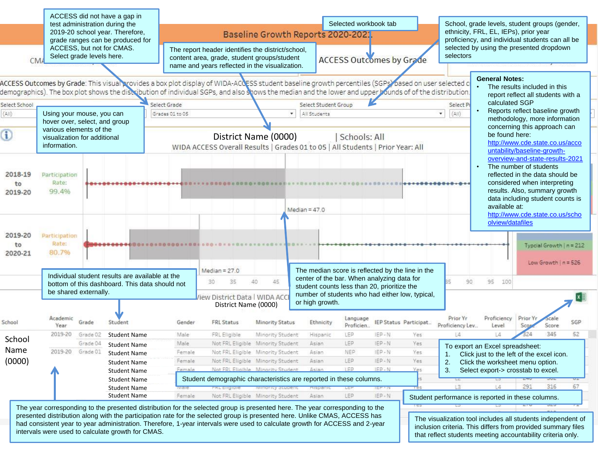